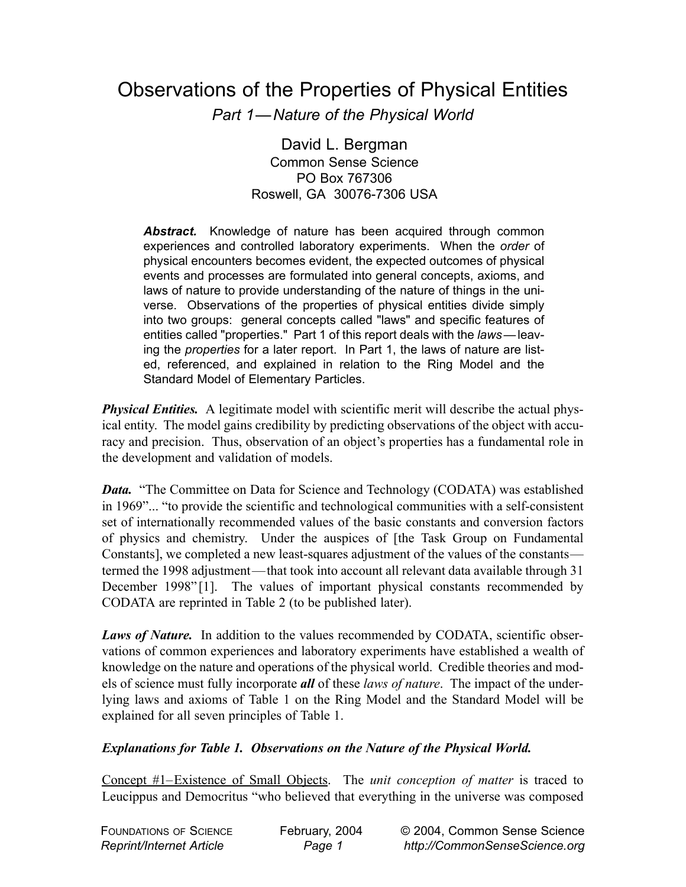# Observations of the Properties of Physical Entities

*Part 1—Nature of the Physical World*

David L. Bergman Common Sense Science PO Box 767306 Roswell, GA 30076-7306 USA

Abstract. Knowledge of nature has been acquired through common experiences and controlled laboratory experiments. When the *order* of physical encounters becomes evident, the expected outcomes of physical events and processes are formulated into general concepts, axioms, and laws of nature to provide understanding of the nature of things in the universe. Observations of the properties of physical entities divide simply into two groups: general concepts called "laws" and specific features of entities called "properties." Part 1 of this report deals with the *laws*— leaving the *properties* for a later report. In Part 1, the laws of nature are listed, referenced, and explained in relation to the Ring Model and the Standard Model of Elementary Particles.

*Physical Entities.* A legitimate model with scientific merit will describe the actual physical entity. The model gains credibility by predicting observations of the object with accuracy and precision. Thus, observation of an object's properties has a fundamental role in the development and validation of models.

*Data.* "The Committee on Data for Science and Technology (CODATA) was established in 1969"... "to provide the scientific and technological communities with a self-consistent set of internationally recommended values of the basic constants and conversion factors of physics and chemistry. Under the auspices of [the Task Group on Fundamental Constants], we completed a new least-squares adjustment of the values of the constants termed the 1998 adjustment—that took into account all relevant data available through 31 December 1998"<sup>[1]</sup>. The values of important physical constants recommended by CODATA are reprinted in Table 2 (to be published later).

*Laws of Nature.* In addition to the values recommended by CODATA, scientific observations of common experiences and laboratory experiments have established a wealth of knowledge on the nature and operations of the physical world. Credible theories and models of science must fully incorporate *all* of these *laws of nature*. The impact of the underlying laws and axioms of Table 1 on the Ring Model and the Standard Model will be explained for all seven principles of Table 1.

## *Explanations for Table 1. Observations on the Nature of the Physical World.*

Concept #1–Existence of Small Objects. The *unit conception of matter* is traced to Leucippus and Democritus "who believed that everything in the universe was composed

| <b>FOUNDATIONS OF SCIENCE</b>   | February, 2004 | © 2004, Common Sense Science  |
|---------------------------------|----------------|-------------------------------|
| <b>Reprint/Internet Article</b> | Page 1         | http://CommonSenseScience.org |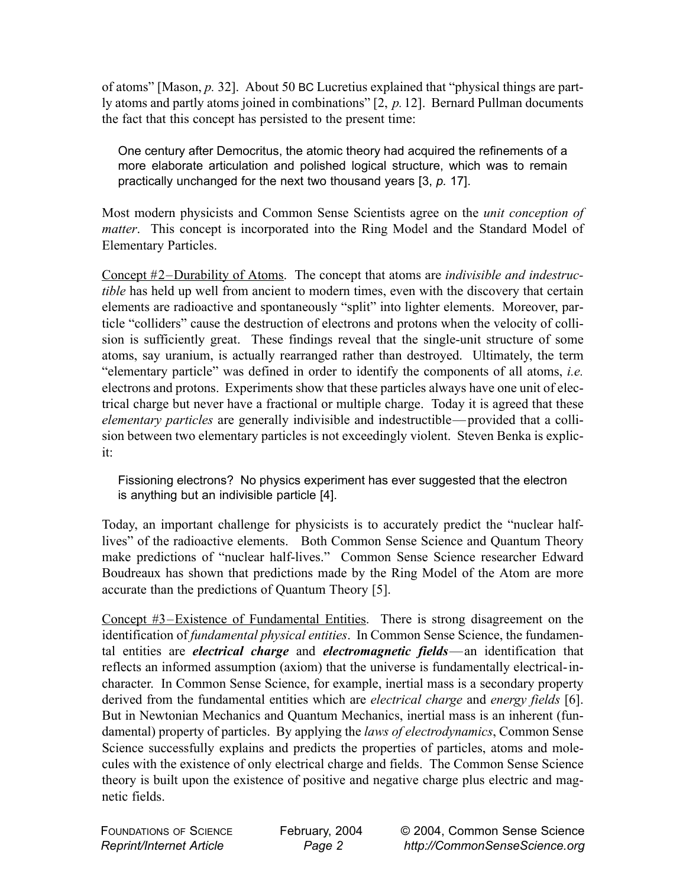of atoms" [Mason, *p.* 32]. About 50 BC Lucretius explained that "physical things are partly atoms and partly atoms joined in combinations" [2, *p.*12]. Bernard Pullman documents the fact that this concept has persisted to the present time:

One century after Democritus, the atomic theory had acquired the refinements of a more elaborate articulation and polished logical structure, which was to remain practically unchanged for the next two thousand years [3, *p.* 17].

Most modern physicists and Common Sense Scientists agree on the *unit conception of matter*. This concept is incorporated into the Ring Model and the Standard Model of Elementary Particles.

Concept #2–Durability of Atoms. The concept that atoms are *indivisible and indestructible* has held up well from ancient to modern times, even with the discovery that certain elements are radioactive and spontaneously "split" into lighter elements. Moreover, particle "colliders" cause the destruction of electrons and protons when the velocity of collision is sufficiently great. These findings reveal that the single-unit structure of some atoms, say uranium, is actually rearranged rather than destroyed. Ultimately, the term "elementary particle" was defined in order to identify the components of all atoms, *i.e.* electrons and protons. Experiments show that these particles always have one unit of electrical charge but never have a fractional or multiple charge. Today it is agreed that these *elementary particles* are generally indivisible and indestructible— provided that a collision between two elementary particles is not exceedingly violent. Steven Benka is explicit:

Fissioning electrons? No physics experiment has ever suggested that the electron is anything but an indivisible particle [4].

Today, an important challenge for physicists is to accurately predict the "nuclear halflives" of the radioactive elements. Both Common Sense Science and Quantum Theory make predictions of "nuclear half-lives." Common Sense Science researcher Edward Boudreaux has shown that predictions made by the Ring Model of the Atom are more accurate than the predictions of Quantum Theory [5].

Concept #3–Existence of Fundamental Entities. There is strong disagreement on the identification of *fundamental physical entities*. In Common Sense Science, the fundamental entities are *electrical charge* and *electromagnetic fields*—an identification that reflects an informed assumption (axiom) that the universe is fundamentally electrical-incharacter. In Common Sense Science, for example, inertial mass is a secondary property derived from the fundamental entities which are *electrical charge* and *energy fields* [6]. But in Newtonian Mechanics and Quantum Mechanics, inertial mass is an inherent (fundamental) property of particles. By applying the *laws of electrodynamics*, Common Sense Science successfully explains and predicts the properties of particles, atoms and molecules with the existence of only electrical charge and fields. The Common Sense Science theory is built upon the existence of positive and negative charge plus electric and magnetic fields.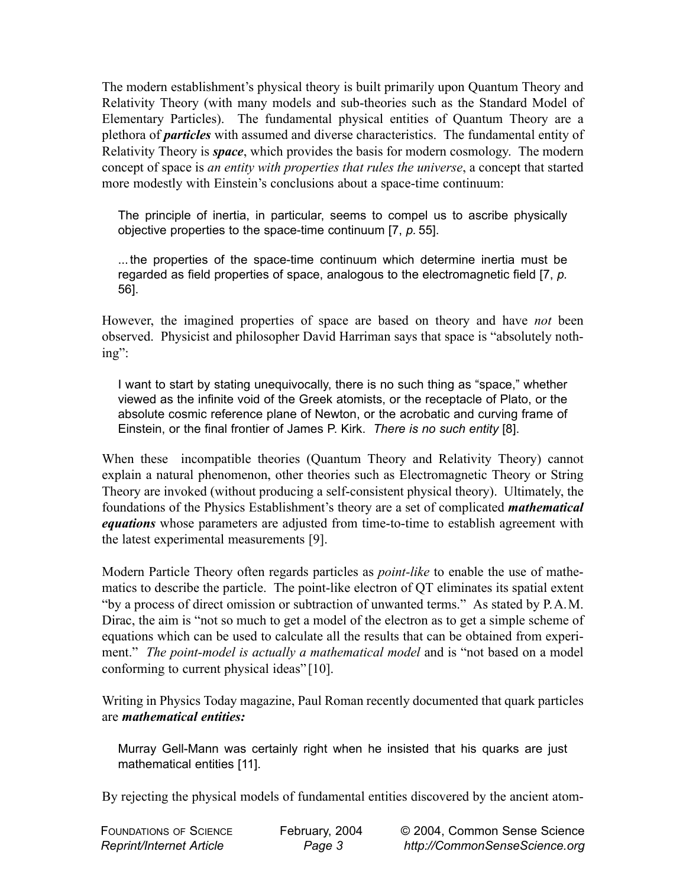The modern establishment's physical theory is built primarily upon Quantum Theory and Relativity Theory (with many models and sub-theories such as the Standard Model of Elementary Particles). The fundamental physical entities of Quantum Theory are a plethora of *particles* with assumed and diverse characteristics. The fundamental entity of Relativity Theory is *space*, which provides the basis for modern cosmology. The modern concept of space is *an entity with properties that rules the universe*, a concept that started more modestly with Einstein's conclusions about a space-time continuum:

The principle of inertia, in particular, seems to compel us to ascribe physically objective properties to the space-time continuum [7, *p.* 55].

... the properties of the space-time continuum which determine inertia must be regarded as field properties of space, analogous to the electromagnetic field [7, *p.* 56].

However, the imagined properties of space are based on theory and have *not* been observed. Physicist and philosopher David Harriman says that space is "absolutely nothing":

I want to start by stating unequivocally, there is no such thing as "space," whether viewed as the infinite void of the Greek atomists, or the receptacle of Plato, or the absolute cosmic reference plane of Newton, or the acrobatic and curving frame of Einstein, or the final frontier of James P. Kirk. *There is no such entity* [8].

When these incompatible theories (Quantum Theory and Relativity Theory) cannot explain a natural phenomenon, other theories such as Electromagnetic Theory or String Theory are invoked (without producing a self-consistent physical theory). Ultimately, the foundations of the Physics Establishment's theory are a set of complicated *mathematical equations* whose parameters are adjusted from time-to-time to establish agreement with the latest experimental measurements [9].

Modern Particle Theory often regards particles as *point-like* to enable the use of mathematics to describe the particle. The point-like electron of QT eliminates its spatial extent "by a process of direct omission or subtraction of unwanted terms." As stated by P.A.M. Dirac, the aim is "not so much to get a model of the electron as to get a simple scheme of equations which can be used to calculate all the results that can be obtained from experiment." *The point-model is actually a mathematical model* and is "not based on a model conforming to current physical ideas" [10].

Writing in Physics Today magazine, Paul Roman recently documented that quark particles are *mathematical entities:*

Murray Gell-Mann was certainly right when he insisted that his quarks are just mathematical entities [11].

By rejecting the physical models of fundamental entities discovered by the ancient atom-

| <b>FOUNDATIONS OF SCIENCE</b>   | February, 2004 | © 2004, Common Sense Science  |
|---------------------------------|----------------|-------------------------------|
| <b>Reprint/Internet Article</b> | Page 3         | http://CommonSenseScience.org |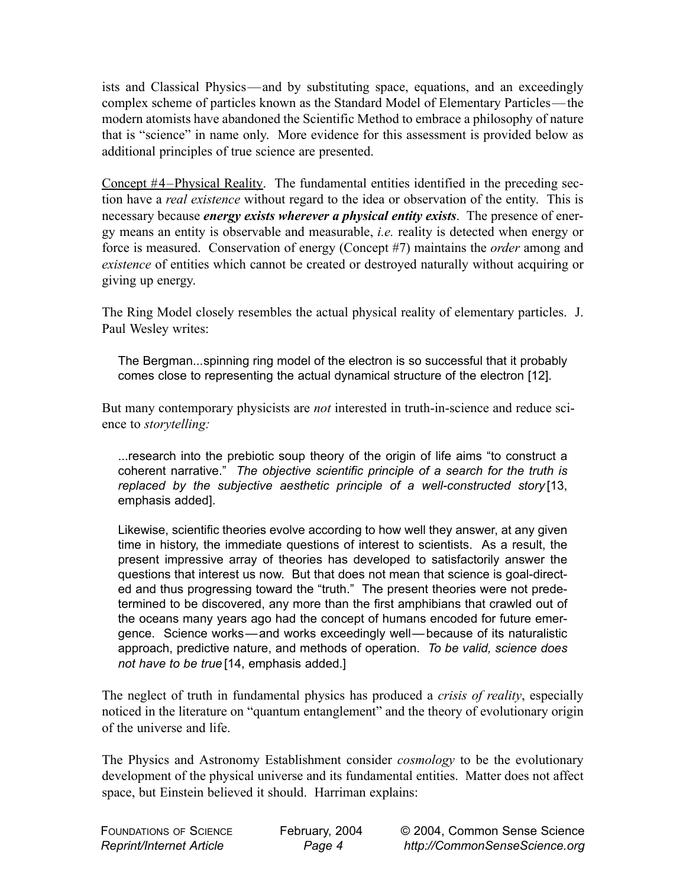ists and Classical Physics—and by substituting space, equations, and an exceedingly complex scheme of particles known as the Standard Model of Elementary Particles— the modern atomists have abandoned the Scientific Method to embrace a philosophy of nature that is "science" in name only. More evidence for this assessment is provided below as additional principles of true science are presented.

Concept #4–Physical Reality. The fundamental entities identified in the preceding section have a *real existence* without regard to the idea or observation of the entity. This is necessary because *energy exists wherever a physical entity exists*. The presence of energy means an entity is observable and measurable, *i.e.* reality is detected when energy or force is measured. Conservation of energy (Concept #7) maintains the *order* among and *existence* of entities which cannot be created or destroyed naturally without acquiring or giving up energy.

The Ring Model closely resembles the actual physical reality of elementary particles. J. Paul Wesley writes:

The Bergman...spinning ring model of the electron is so successful that it probably comes close to representing the actual dynamical structure of the electron [12].

But many contemporary physicists are *not* interested in truth-in-science and reduce science to *storytelling:*

...research into the prebiotic soup theory of the origin of life aims "to construct a coherent narrative." *The objective scientific principle of a search for the truth is replaced by the subjective aesthetic principle of a well-constructed story* [13, emphasis added].

Likewise, scientific theories evolve according to how well they answer, at any given time in history, the immediate questions of interest to scientists. As a result, the present impressive array of theories has developed to satisfactorily answer the questions that interest us now. But that does not mean that science is goal-directed and thus progressing toward the "truth." The present theories were not predetermined to be discovered, any more than the first amphibians that crawled out of the oceans many years ago had the concept of humans encoded for future emergence. Science works—and works exceedingly well— because of its naturalistic approach, predictive nature, and methods of operation. *To be valid, science does not have to be true* [14, emphasis added.]

The neglect of truth in fundamental physics has produced a *crisis of reality*, especially noticed in the literature on "quantum entanglement" and the theory of evolutionary origin of the universe and life.

The Physics and Astronomy Establishment consider *cosmology* to be the evolutionary development of the physical universe and its fundamental entities. Matter does not affect space, but Einstein believed it should. Harriman explains:

| <b>FOUNDATIONS OF SCIENCE</b>   |  |
|---------------------------------|--|
| <b>Reprint/Internet Article</b> |  |

February, 2004 *Page 4*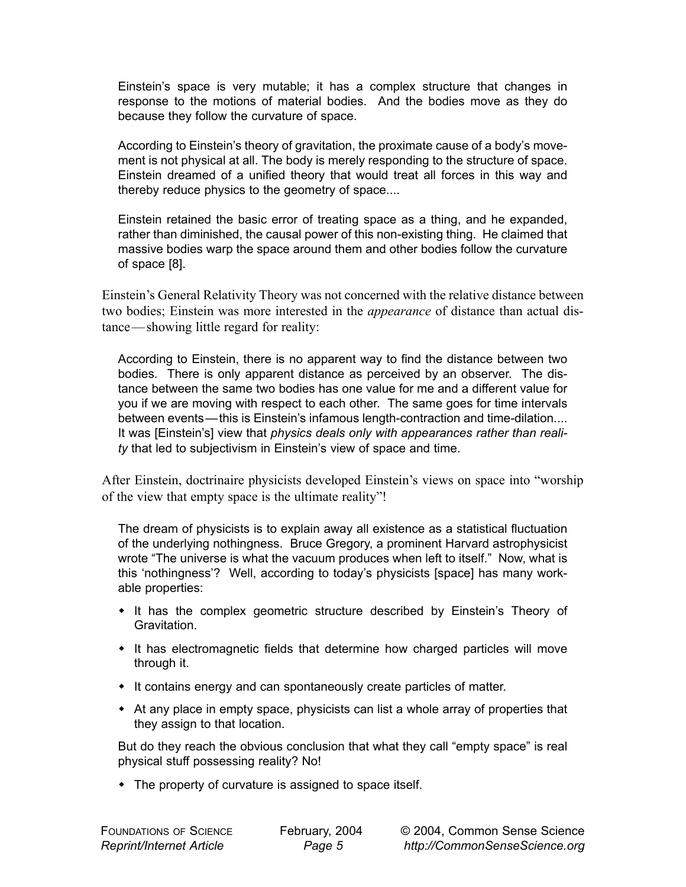Einstein's space is very mutable; it has a complex structure that changes in response to the motions of material bodies. And the bodies move as they do because they follow the curvature of space.

According to Einstein's theory of gravitation, the proximate cause of a body's movement is not physical at all. The body is merely responding to the structure of space. Einstein dreamed of a unified theory that would treat all forces in this way and thereby reduce physics to the geometry of space....

Einstein retained the basic error of treating space as a thing, and he expanded, rather than diminished, the causal power of this non-existing thing. He claimed that massive bodies warp the space around them and other bodies follow the curvature of space [8].

Einstein's General Relativity Theory was not concerned with the relative distance between two bodies; Einstein was more interested in the *appearance* of distance than actual distance—showing little regard for reality:

According to Einstein, there is no apparent way to find the distance between two bodies. There is only apparent distance as perceived by an observer. The distance between the same two bodies has one value for me and a different value for you if we are moving with respect to each other. The same goes for time intervals between events—this is Einstein's infamous length-contraction and time-dilation.... It was [Einstein's] view that *physics deals only with appearances rather than reality* that led to subjectivism in Einstein's view of space and time.

After Einstein, doctrinaire physicists developed Einstein's views on space into "worship of the view that empty space is the ultimate reality"!

The dream of physicists is to explain away all existence as a statistical fluctuation of the underlying nothingness. Bruce Gregory, a prominent Harvard astrophysicist wrote "The universe is what the vacuum produces when left to itself." Now, what is this 'nothingness'? Well, according to today's physicists [space] has many workable properties:

- It has the complex geometric structure described by Einstein's Theory of Gravitation.
- It has electromagnetic fields that determine how charged particles will move through it.
- It contains energy and can spontaneously create particles of matter.
- At any place in empty space, physicists can list a whole array of properties that they assign to that location.

But do they reach the obvious conclusion that what they call "empty space" is real physical stuff possessing reality? No!

• The property of curvature is assigned to space itself.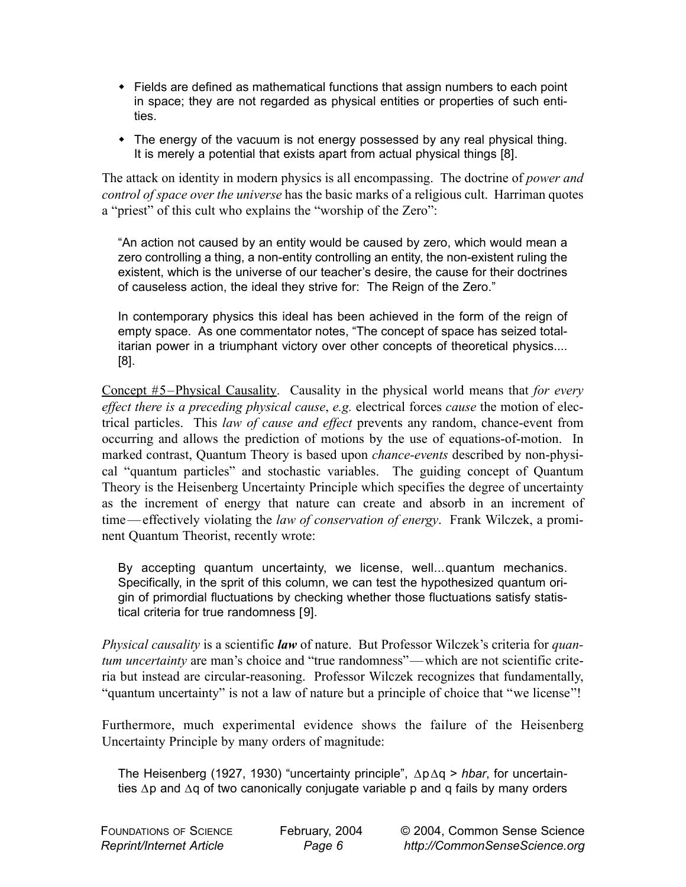- Fields are defined as mathematical functions that assign numbers to each point in space; they are not regarded as physical entities or properties of such entities.
- The energy of the vacuum is not energy possessed by any real physical thing. It is merely a potential that exists apart from actual physical things [8].

The attack on identity in modern physics is all encompassing. The doctrine of *power and control of space over the universe* has the basic marks of a religious cult. Harriman quotes a "priest" of this cult who explains the "worship of the Zero":

"An action not caused by an entity would be caused by zero, which would mean a zero controlling a thing, a non-entity controlling an entity, the non-existent ruling the existent, which is the universe of our teacher's desire, the cause for their doctrines of causeless action, the ideal they strive for: The Reign of the Zero."

In contemporary physics this ideal has been achieved in the form of the reign of empty space. As one commentator notes, "The concept of space has seized totalitarian power in a triumphant victory over other concepts of theoretical physics.... [8].

Concept #5–Physical Causality. Causality in the physical world means that *for every effect there is a preceding physical cause*, *e.g.* electrical forces *cause* the motion of electrical particles. This *law of cause and effect* prevents any random, chance-event from occurring and allows the prediction of motions by the use of equations-of-motion. In marked contrast, Quantum Theory is based upon *chance-events* described by non-physical "quantum particles" and stochastic variables. The guiding concept of Quantum Theory is the Heisenberg Uncertainty Principle which specifies the degree of uncertainty as the increment of energy that nature can create and absorb in an increment of time — effectively violating the *law of conservation of energy*. Frank Wilczek, a prominent Quantum Theorist, recently wrote:

By accepting quantum uncertainty, we license, well...quantum mechanics. Specifically, in the sprit of this column, we can test the hypothesized quantum origin of primordial fluctuations by checking whether those fluctuations satisfy statistical criteria for true randomness [9].

*Physical causality* is a scientific *law* of nature. But Professor Wilczek's criteria for *quantum uncertainty* are man's choice and "true randomness"— which are not scientific criteria but instead are circular-reasoning. Professor Wilczek recognizes that fundamentally, "quantum uncertainty" is not a law of nature but a principle of choice that "we license"!

Furthermore, much experimental evidence shows the failure of the Heisenberg Uncertainty Principle by many orders of magnitude:

The Heisenberg (1927, 1930) "uncertainty principle", ∆p∆q > *hbar*, for uncertainties ∆p and ∆q of two canonically conjugate variable p and q fails by many orders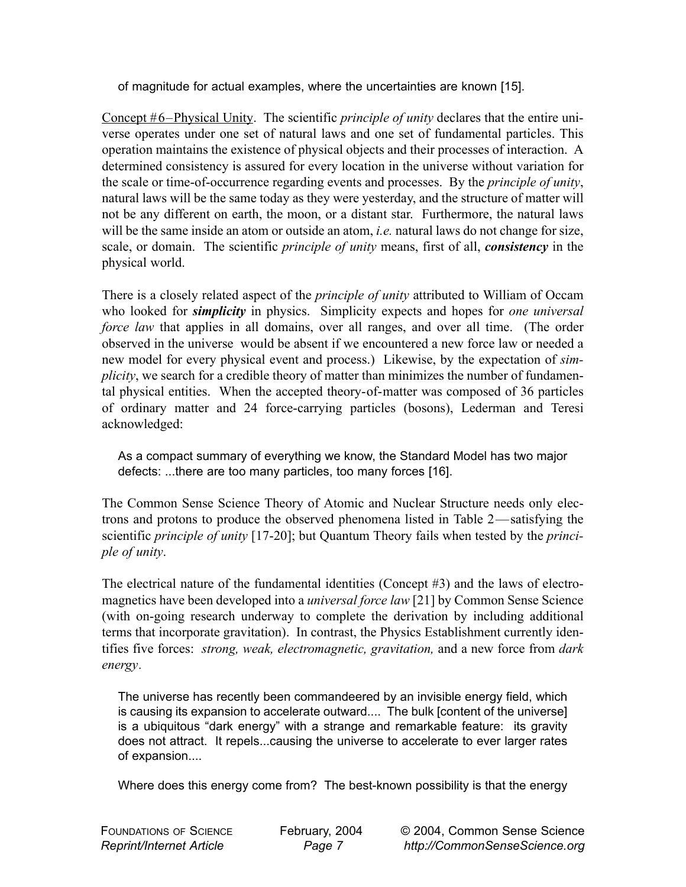of magnitude for actual examples, where the uncertainties are known [15].

Concept #6–Physical Unity. The scientific *principle of unity* declares that the entire universe operates under one set of natural laws and one set of fundamental particles. This operation maintains the existence of physical objects and their processes of interaction. A determined consistency is assured for every location in the universe without variation for the scale or time-of-occurrence regarding events and processes. By the *principle of unity*, natural laws will be the same today as they were yesterday, and the structure of matter will not be any different on earth, the moon, or a distant star. Furthermore, the natural laws will be the same inside an atom or outside an atom, *i.e.* natural laws do not change for size, scale, or domain. The scientific *principle of unity* means, first of all, *consistency* in the physical world.

There is a closely related aspect of the *principle of unity* attributed to William of Occam who looked for *simplicity* in physics. Simplicity expects and hopes for *one universal force law* that applies in all domains, over all ranges, and over all time. (The order observed in the universe would be absent if we encountered a new force law or needed a new model for every physical event and process.) Likewise, by the expectation of *simplicity*, we search for a credible theory of matter than minimizes the number of fundamental physical entities. When the accepted theory-of-matter was composed of 36 particles of ordinary matter and 24 force-carrying particles (bosons), Lederman and Teresi acknowledged:

As a compact summary of everything we know, the Standard Model has two major defects: ...there are too many particles, too many forces [16].

The Common Sense Science Theory of Atomic and Nuclear Structure needs only electrons and protons to produce the observed phenomena listed in Table 2—satisfying the scientific *principle of unity* [17-20]; but Quantum Theory fails when tested by the *principle of unity*.

The electrical nature of the fundamental identities (Concept #3) and the laws of electromagnetics have been developed into a *universal force law* [21] by Common Sense Science (with on-going research underway to complete the derivation by including additional terms that incorporate gravitation). In contrast, the Physics Establishment currently identifies five forces: *strong, weak, electromagnetic, gravitation,* and a new force from *dark energy.*

The universe has recently been commandeered by an invisible energy field, which is causing its expansion to accelerate outward.... The bulk [content of the universe] is a ubiquitous "dark energy" with a strange and remarkable feature: its gravity does not attract. It repels...causing the universe to accelerate to ever larger rates of expansion....

Where does this energy come from? The best-known possibility is that the energy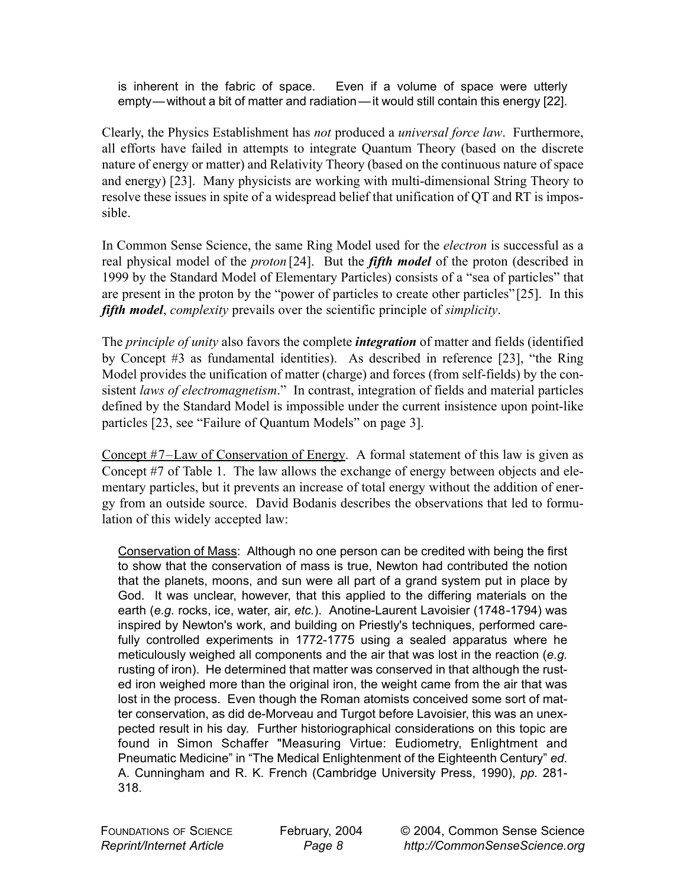is inherent in the fabric of space. Even if a volume of space were utterly empty— without a bit of matter and radiation — it would still contain this energy [22].

Clearly, the Physics Establishment has *not* produced a *universal force law*. Furthermore, all efforts have failed in attempts to integrate Quantum Theory (based on the discrete nature of energy or matter) and Relativity Theory (based on the continuous nature of space and energy) [23]. Many physicists are working with multi-dimensional String Theory to resolve these issues in spite of a widespread belief that unification of QT and RT is impossible.

In Common Sense Science, the same Ring Model used for the *electron* is successful as a real physical model of the *proton* [24]. But the *fifth model* of the proton (described in 1999 by the Standard Model of Elementary Particles) consists of a "sea of particles" that are present in the proton by the "power of particles to create other particles"[25]. In this *fifth model*, *complexity* prevails over the scientific principle of *simplicity*.

The *principle of unity* also favors the complete *integration* of matter and fields (identified by Concept #3 as fundamental identities). As described in reference [23], "the Ring Model provides the unification of matter (charge) and forces (from self-fields) by the consistent *laws of electromagnetism*." In contrast, integration of fields and material particles defined by the Standard Model is impossible under the current insistence upon point-like particles [23, see "Failure of Quantum Models" on page 3].

Concept #7–Law of Conservation of Energy. A formal statement of this law is given as Concept #7 of Table 1. The law allows the exchange of energy between objects and elementary particles, but it prevents an increase of total energy without the addition of energy from an outside source. David Bodanis describes the observations that led to formulation of this widely accepted law:

Conservation of Mass: Although no one person can be credited with being the first to show that the conservation of mass is true, Newton had contributed the notion that the planets, moons, and sun were all part of a grand system put in place by God. It was unclear, however, that this applied to the differing materials on the earth (*e.g.* rocks, ice, water, air, *etc.*). Anotine-Laurent Lavoisier (1748-1794) was inspired by Newton's work, and building on Priestly's techniques, performed carefully controlled experiments in 1772-1775 using a sealed apparatus where he meticulously weighed all components and the air that was lost in the reaction (*e.g.* rusting of iron). He determined that matter was conserved in that although the rusted iron weighed more than the original iron, the weight came from the air that was lost in the process. Even though the Roman atomists conceived some sort of matter conservation, as did de-Morveau and Turgot before Lavoisier, this was an unexpected result in his day. Further historiographical considerations on this topic are found in Simon Schaffer "Measuring Virtue: Eudiometry, Enlightment and Pneumatic Medicine" in "The Medical Enlightenment of the Eighteenth Century" *ed*. A. Cunningham and R. K. French (Cambridge University Press, 1990), *pp.* 281- 318.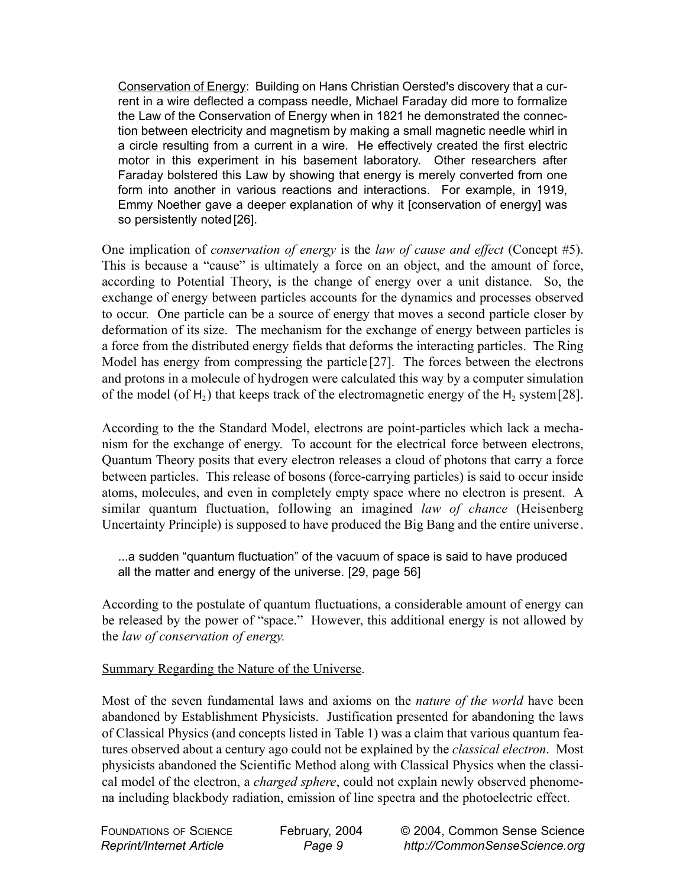Conservation of Energy: Building on Hans Christian Oersted's discovery that a current in a wire deflected a compass needle, Michael Faraday did more to formalize the Law of the Conservation of Energy when in 1821 he demonstrated the connection between electricity and magnetism by making a small magnetic needle whirl in a circle resulting from a current in a wire. He effectively created the first electric motor in this experiment in his basement laboratory. Other researchers after Faraday bolstered this Law by showing that energy is merely converted from one form into another in various reactions and interactions. For example, in 1919, Emmy Noether gave a deeper explanation of why it [conservation of energy] was so persistently noted [26].

One implication of *conservation of energy* is the *law of cause and effect* (Concept #5). This is because a "cause" is ultimately a force on an object, and the amount of force, according to Potential Theory, is the change of energy over a unit distance. So, the exchange of energy between particles accounts for the dynamics and processes observed to occur. One particle can be a source of energy that moves a second particle closer by deformation of its size. The mechanism for the exchange of energy between particles is a force from the distributed energy fields that deforms the interacting particles. The Ring Model has energy from compressing the particle [27]. The forces between the electrons and protons in a molecule of hydrogen were calculated this way by a computer simulation of the model (of H<sub>2</sub>) that keeps track of the electromagnetic energy of the H<sub>2</sub> system [28].

According to the the Standard Model, electrons are point-particles which lack a mechanism for the exchange of energy. To account for the electrical force between electrons, Quantum Theory posits that every electron releases a cloud of photons that carry a force between particles. This release of bosons (force-carrying particles) is said to occur inside atoms, molecules, and even in completely empty space where no electron is present. A similar quantum fluctuation, following an imagined *law of chance* (Heisenberg Uncertainty Principle) is supposed to have produced the Big Bang and the entire universe.

...a sudden "quantum fluctuation" of the vacuum of space is said to have produced all the matter and energy of the universe. [29, page 56]

According to the postulate of quantum fluctuations, a considerable amount of energy can be released by the power of "space." However, this additional energy is not allowed by the *law of conservation of energy.* 

## Summary Regarding the Nature of the Universe.

Most of the seven fundamental laws and axioms on the *nature of the world* have been abandoned by Establishment Physicists. Justification presented for abandoning the laws of Classical Physics (and concepts listed in Table 1) was a claim that various quantum features observed about a century ago could not be explained by the *classical electron*. Most physicists abandoned the Scientific Method along with Classical Physics when the classical model of the electron, a *charged sphere*, could not explain newly observed phenomena including blackbody radiation, emission of line spectra and the photoelectric effect.

FOUNDATIONS OF SCIENCE *Reprint/Internet Article*

February, 2004 *Page 9*

© 2004, Common Sense Science *http://CommonSenseScience.org*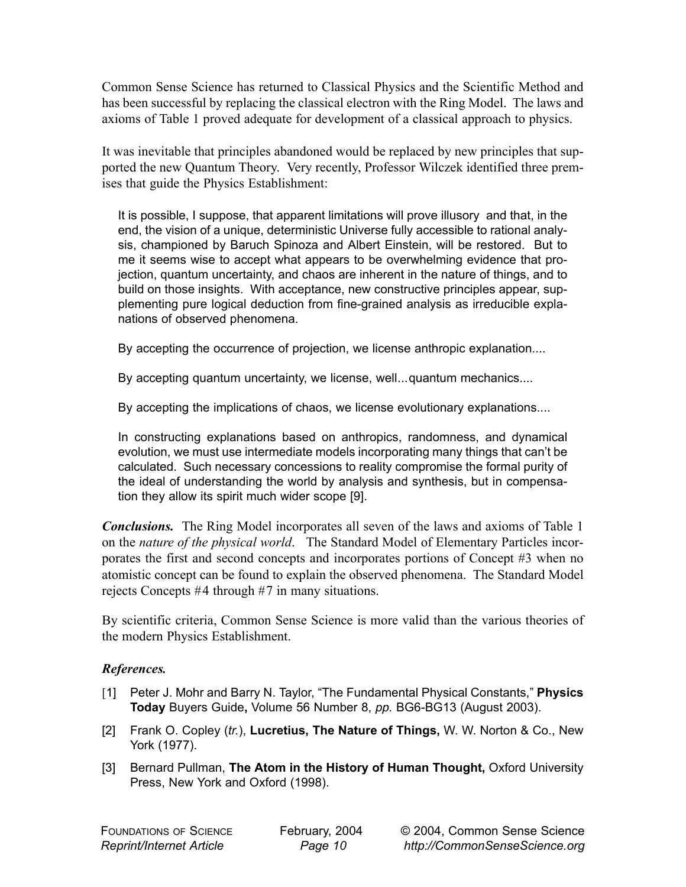Common Sense Science has returned to Classical Physics and the Scientific Method and has been successful by replacing the classical electron with the Ring Model. The laws and axioms of Table 1 proved adequate for development of a classical approach to physics.

It was inevitable that principles abandoned would be replaced by new principles that supported the new Quantum Theory. Very recently, Professor Wilczek identified three premises that guide the Physics Establishment:

It is possible, I suppose, that apparent limitations will prove illusory and that, in the end, the vision of a unique, deterministic Universe fully accessible to rational analysis, championed by Baruch Spinoza and Albert Einstein, will be restored. But to me it seems wise to accept what appears to be overwhelming evidence that projection, quantum uncertainty, and chaos are inherent in the nature of things, and to build on those insights. With acceptance, new constructive principles appear, supplementing pure logical deduction from fine-grained analysis as irreducible explanations of observed phenomena.

By accepting the occurrence of projection, we license anthropic explanation....

By accepting quantum uncertainty, we license, well...quantum mechanics....

By accepting the implications of chaos, we license evolutionary explanations....

In constructing explanations based on anthropics, randomness, and dynamical evolution, we must use intermediate models incorporating many things that can't be calculated. Such necessary concessions to reality compromise the formal purity of the ideal of understanding the world by analysis and synthesis, but in compensation they allow its spirit much wider scope [9].

*Conclusions.* The Ring Model incorporates all seven of the laws and axioms of Table 1 on the *nature of the physical world*. The Standard Model of Elementary Particles incorporates the first and second concepts and incorporates portions of Concept #3 when no atomistic concept can be found to explain the observed phenomena. The Standard Model rejects Concepts #4 through #7 in many situations.

By scientific criteria, Common Sense Science is more valid than the various theories of the modern Physics Establishment.

## *References.*

- [1] Peter J. Mohr and Barry N. Taylor, "The Fundamental Physical Constants," **Physics Today** Buyers Guide**,** Volume 56 Number 8, *pp.* BG6-BG13 (August 2003).
- [2] Frank O. Copley (*tr.*), **Lucretius, The Nature of Things,** W. W. Norton & Co., New York (1977).
- [3] Bernard Pullman, **The Atom in the History of Human Thought,** Oxford University Press, New York and Oxford (1998).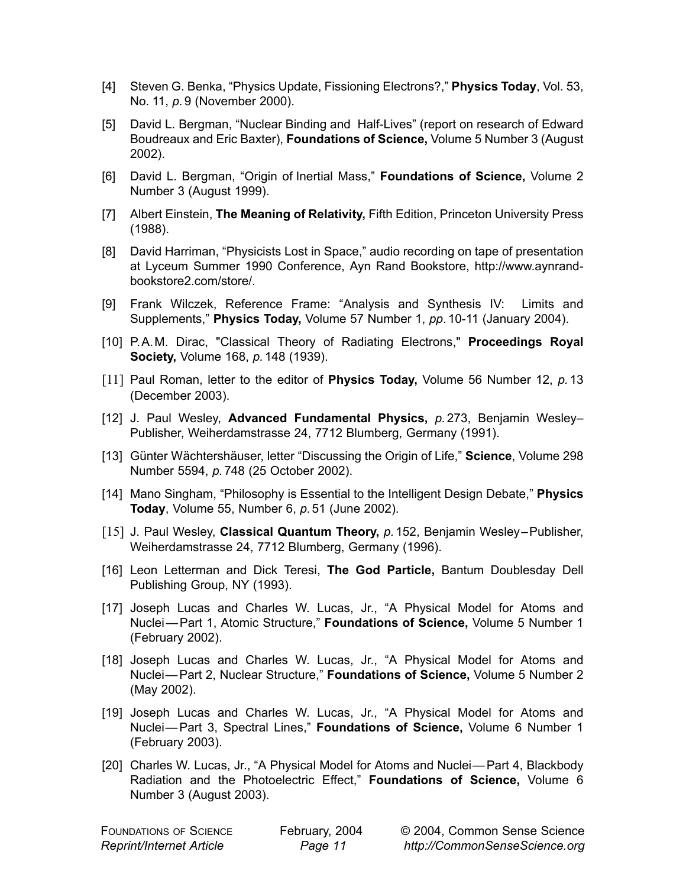- [4] Steven G. Benka, "Physics Update, Fissioning Electrons?," **Physics Today**, Vol. 53, No. 11, *p.* 9 (November 2000).
- [5] David L. Bergman, "Nuclear Binding and Half-Lives" (report on research of Edward Boudreaux and Eric Baxter), **Foundations of Science,** Volume 5 Number 3 (August 2002).
- [6] David L. Bergman, "Origin of Inertial Mass," **Foundations of Science,** Volume 2 Number 3 (August 1999).
- [7] Albert Einstein, **The Meaning of Relativity,** Fifth Edition, Princeton University Press (1988).
- [8] David Harriman, "Physicists Lost in Space," audio recording on tape of presentation at Lyceum Summer 1990 Conference, Ayn Rand Bookstore, http://www.aynrandbookstore2.com/store/.
- [9] Frank Wilczek, Reference Frame: "Analysis and Synthesis IV: Limits and Supplements," **Physics Today,** Volume 57 Number 1, *pp*. 10-11 (January 2004).
- [10] P.A.M. Dirac, "Classical Theory of Radiating Electrons," **Proceedings Royal Society,** Volume 168, *p.* 148 (1939).
- [11] Paul Roman, letter to the editor of **Physics Today,** Volume 56 Number 12, *p.* 13 (December 2003).
- [12] J. Paul Wesley, **Advanced Fundamental Physics,** *p.* 273, Benjamin Wesley– Publisher, Weiherdamstrasse 24, 7712 Blumberg, Germany (1991).
- [13] Günter Wächtershäuser, letter "Discussing the Origin of Life," **Science**, Volume 298 Number 5594, *p.* 748 (25 October 2002).
- [14] Mano Singham, "Philosophy is Essential to the Intelligent Design Debate," **Physics Today**, Volume 55, Number 6, *p.* 51 (June 2002).
- [15] J. Paul Wesley, **Classical Quantum Theory,** *p.* 152, Benjamin Wesley–Publisher, Weiherdamstrasse 24, 7712 Blumberg, Germany (1996).
- [16] Leon Letterman and Dick Teresi, **The God Particle,** Bantum Doublesday Dell Publishing Group, NY (1993).
- [17] Joseph Lucas and Charles W. Lucas, Jr., "A Physical Model for Atoms and Nuclei— Part 1, Atomic Structure," **Foundations of Science,** Volume 5 Number 1 (February 2002).
- [18] Joseph Lucas and Charles W. Lucas, Jr., "A Physical Model for Atoms and Nuclei— Part 2, Nuclear Structure," **Foundations of Science,** Volume 5 Number 2 (May 2002).
- [19] Joseph Lucas and Charles W. Lucas, Jr., "A Physical Model for Atoms and Nuclei— Part 3, Spectral Lines," **Foundations of Science,** Volume 6 Number 1 (February 2003).
- [20] Charles W. Lucas, Jr., "A Physical Model for Atoms and Nuclei— Part 4, Blackbody Radiation and the Photoelectric Effect," **Foundations of Science,** Volume 6 Number 3 (August 2003).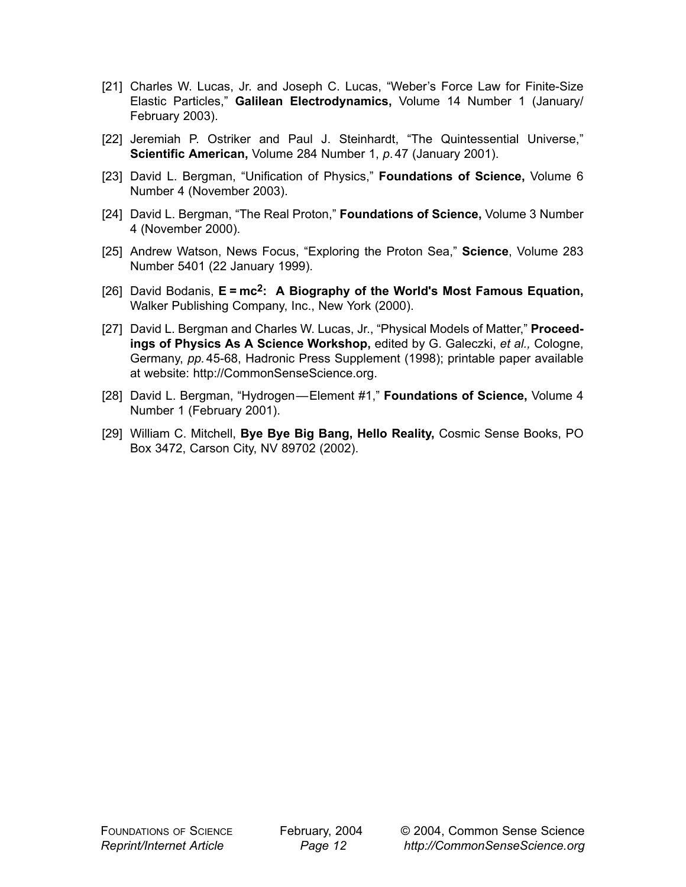- [21] Charles W. Lucas, Jr. and Joseph C. Lucas, "Weber's Force Law for Finite-Size Elastic Particles," **Galilean Electrodynamics,** Volume 14 Number 1 (January/ February 2003).
- [22] Jeremiah P. Ostriker and Paul J. Steinhardt, "The Quintessential Universe," **Scientific American,** Volume 284 Number 1, *p*. 47 (January 2001).
- [23] David L. Bergman, "Unification of Physics," **Foundations of Science,** Volume 6 Number 4 (November 2003).
- [24] David L. Bergman, "The Real Proton," **Foundations of Science,** Volume 3 Number 4 (November 2000).
- [25] Andrew Watson, News Focus, "Exploring the Proton Sea," **Science**, Volume 283 Number 5401 (22 January 1999).
- [26] David Bodanis, **E = mc2: A Biography of the World's Most Famous Equation,** Walker Publishing Company, Inc., New York (2000).
- [27] David L. Bergman and Charles W. Lucas, Jr., "Physical Models of Matter," **Proceedings of Physics As A Science Workshop,** edited by G. Galeczki, *et al.,* Cologne, Germany, *pp.* 45-68, Hadronic Press Supplement (1998); printable paper available at website: http://CommonSenseScience.org.
- [28] David L. Bergman, "Hydrogen—Element #1," **Foundations of Science,** Volume 4 Number 1 (February 2001).
- [29] William C. Mitchell, **Bye Bye Big Bang, Hello Reality,** Cosmic Sense Books, PO Box 3472, Carson City, NV 89702 (2002).